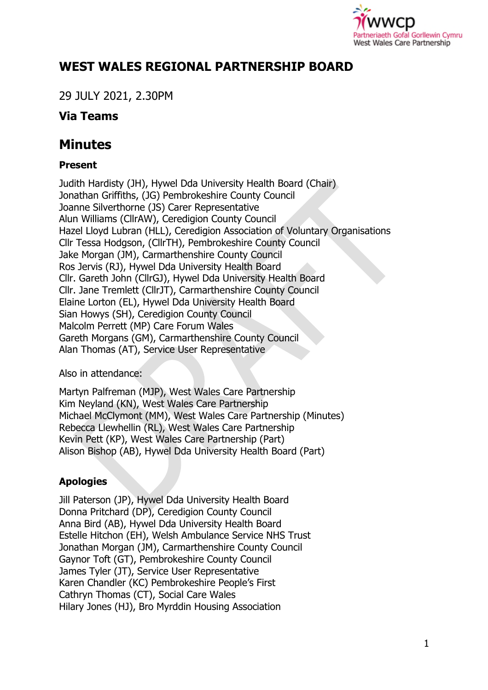

# **WEST WALES REGIONAL PARTNERSHIP BOARD**

29 JULY 2021, 2.30PM

# **Via Teams**

# **Minutes**

### **Present**

Judith Hardisty (JH), Hywel Dda University Health Board (Chair) Jonathan Griffiths, (JG) Pembrokeshire County Council Joanne Silverthorne (JS) Carer Representative Alun Williams (CllrAW), Ceredigion County Council Hazel Lloyd Lubran (HLL), Ceredigion Association of Voluntary Organisations Cllr Tessa Hodgson, (CllrTH), Pembrokeshire County Council Jake Morgan (JM), Carmarthenshire County Council Ros Jervis (RJ), Hywel Dda University Health Board Cllr. Gareth John (CllrGJ), Hywel Dda University Health Board Cllr. Jane Tremlett (CllrJT), Carmarthenshire County Council Elaine Lorton (EL), Hywel Dda University Health Board Sian Howys (SH), Ceredigion County Council Malcolm Perrett (MP) Care Forum Wales Gareth Morgans (GM), Carmarthenshire County Council Alan Thomas (AT), Service User Representative

Also in attendance:

Martyn Palfreman (MJP), West Wales Care Partnership Kim Neyland (KN), West Wales Care Partnership Michael McClymont (MM), West Wales Care Partnership (Minutes) Rebecca Llewhellin (RL), West Wales Care Partnership Kevin Pett (KP), West Wales Care Partnership (Part) Alison Bishop (AB), Hywel Dda University Health Board (Part)

## **Apologies**

Jill Paterson (JP), Hywel Dda University Health Board Donna Pritchard (DP), Ceredigion County Council Anna Bird (AB), Hywel Dda University Health Board Estelle Hitchon (EH), Welsh Ambulance Service NHS Trust Jonathan Morgan (JM), Carmarthenshire County Council Gaynor Toft (GT), Pembrokeshire County Council James Tyler (JT), Service User Representative Karen Chandler (KC) Pembrokeshire People's First Cathryn Thomas (CT), Social Care Wales Hilary Jones (HJ), Bro Myrddin Housing Association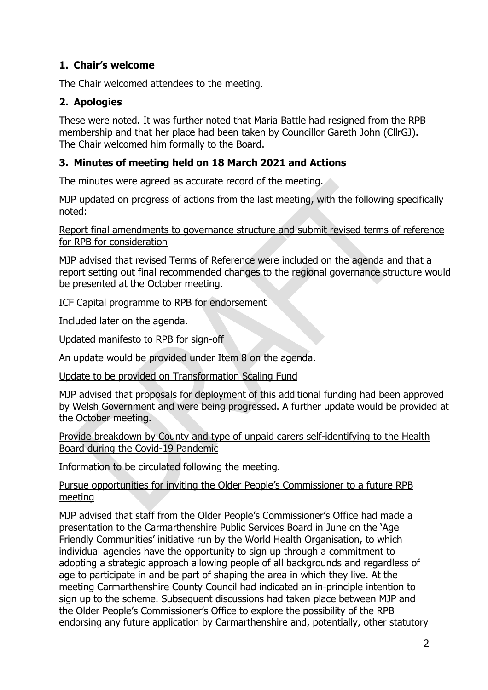#### **1. Chair's welcome**

The Chair welcomed attendees to the meeting.

#### **2. Apologies**

These were noted. It was further noted that Maria Battle had resigned from the RPB membership and that her place had been taken by Councillor Gareth John (CllrGJ). The Chair welcomed him formally to the Board.

#### **3. Minutes of meeting held on 18 March 2021 and Actions**

The minutes were agreed as accurate record of the meeting.

MJP updated on progress of actions from the last meeting, with the following specifically noted:

Report final amendments to governance structure and submit revised terms of reference for RPB for consideration

MJP advised that revised Terms of Reference were included on the agenda and that a report setting out final recommended changes to the regional governance structure would be presented at the October meeting.

#### ICF Capital programme to RPB for endorsement

Included later on the agenda.

Updated manifesto to RPB for sign-off

An update would be provided under Item 8 on the agenda.

Update to be provided on Transformation Scaling Fund

MJP advised that proposals for deployment of this additional funding had been approved by Welsh Government and were being progressed. A further update would be provided at the October meeting.

Provide breakdown by County and type of unpaid carers self-identifying to the Health Board during the Covid-19 Pandemic

Information to be circulated following the meeting.

#### Pursue opportunities for inviting the Older People's Commissioner to a future RPB meeting

MJP advised that staff from the Older People's Commissioner's Office had made a presentation to the Carmarthenshire Public Services Board in June on the 'Age Friendly Communities' initiative run by the World Health Organisation, to which individual agencies have the opportunity to sign up through a commitment to adopting a strategic approach allowing people of all backgrounds and regardless of age to participate in and be part of shaping the area in which they live. At the meeting Carmarthenshire County Council had indicated an in-principle intention to sign up to the scheme. Subsequent discussions had taken place between MJP and the Older People's Commissioner's Office to explore the possibility of the RPB endorsing any future application by Carmarthenshire and, potentially, other statutory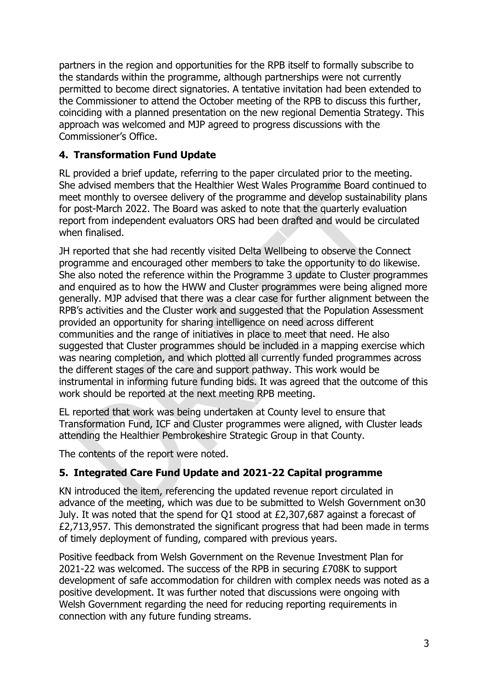partners in the region and opportunities for the RPB itself to formally subscribe to the standards within the programme, although partnerships were not currently permitted to become direct signatories. A tentative invitation had been extended to the Commissioner to attend the October meeting of the RPB to discuss this further, coinciding with a planned presentation on the new regional Dementia Strategy. This approach was welcomed and MJP agreed to progress discussions with the Commissioner's Office.

#### **4. Transformation Fund Update**

RL provided a brief update, referring to the paper circulated prior to the meeting. She advised members that the Healthier West Wales Programme Board continued to meet monthly to oversee delivery of the programme and develop sustainability plans for post-March 2022. The Board was asked to note that the quarterly evaluation report from independent evaluators ORS had been drafted and would be circulated when finalised.

JH reported that she had recently visited Delta Wellbeing to observe the Connect programme and encouraged other members to take the opportunity to do likewise. She also noted the reference within the Programme 3 update to Cluster programmes and enquired as to how the HWW and Cluster programmes were being aligned more generally. MJP advised that there was a clear case for further alignment between the RPB's activities and the Cluster work and suggested that the Population Assessment provided an opportunity for sharing intelligence on need across different communities and the range of initiatives in place to meet that need. He also suggested that Cluster programmes should be included in a mapping exercise which was nearing completion, and which plotted all currently funded programmes across the different stages of the care and support pathway. This work would be instrumental in informing future funding bids. It was agreed that the outcome of this work should be reported at the next meeting RPB meeting.

EL reported that work was being undertaken at County level to ensure that Transformation Fund, ICF and Cluster programmes were aligned, with Cluster leads attending the Healthier Pembrokeshire Strategic Group in that County.

The contents of the report were noted.

#### **5. Integrated Care Fund Update and 2021-22 Capital programme**

KN introduced the item, referencing the updated revenue report circulated in advance of the meeting, which was due to be submitted to Welsh Government on30 July. It was noted that the spend for Q1 stood at £2,307,687 against a forecast of £2,713,957. This demonstrated the significant progress that had been made in terms of timely deployment of funding, compared with previous years.

Positive feedback from Welsh Government on the Revenue Investment Plan for 2021-22 was welcomed. The success of the RPB in securing £708K to support development of safe accommodation for children with complex needs was noted as a positive development. It was further noted that discussions were ongoing with Welsh Government regarding the need for reducing reporting requirements in connection with any future funding streams.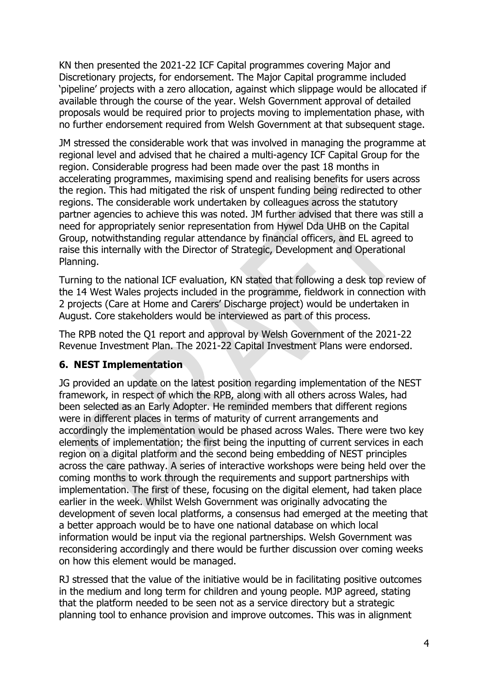KN then presented the 2021-22 ICF Capital programmes covering Major and Discretionary projects, for endorsement. The Major Capital programme included 'pipeline' projects with a zero allocation, against which slippage would be allocated if available through the course of the year. Welsh Government approval of detailed proposals would be required prior to projects moving to implementation phase, with no further endorsement required from Welsh Government at that subsequent stage.

JM stressed the considerable work that was involved in managing the programme at regional level and advised that he chaired a multi-agency ICF Capital Group for the region. Considerable progress had been made over the past 18 months in accelerating programmes, maximising spend and realising benefits for users across the region. This had mitigated the risk of unspent funding being redirected to other regions. The considerable work undertaken by colleagues across the statutory partner agencies to achieve this was noted. JM further advised that there was still a need for appropriately senior representation from Hywel Dda UHB on the Capital Group, notwithstanding regular attendance by financial officers, and EL agreed to raise this internally with the Director of Strategic, Development and Operational Planning.

Turning to the national ICF evaluation, KN stated that following a desk top review of the 14 West Wales projects included in the programme, fieldwork in connection with 2 projects (Care at Home and Carers' Discharge project) would be undertaken in August. Core stakeholders would be interviewed as part of this process.

The RPB noted the Q1 report and approval by Welsh Government of the 2021-22 Revenue Investment Plan. The 2021-22 Capital Investment Plans were endorsed.

#### **6. NEST Implementation**

JG provided an update on the latest position regarding implementation of the NEST framework, in respect of which the RPB, along with all others across Wales, had been selected as an Early Adopter. He reminded members that different regions were in different places in terms of maturity of current arrangements and accordingly the implementation would be phased across Wales. There were two key elements of implementation; the first being the inputting of current services in each region on a digital platform and the second being embedding of NEST principles across the care pathway. A series of interactive workshops were being held over the coming months to work through the requirements and support partnerships with implementation. The first of these, focusing on the digital element, had taken place earlier in the week. Whilst Welsh Government was originally advocating the development of seven local platforms, a consensus had emerged at the meeting that a better approach would be to have one national database on which local information would be input via the regional partnerships. Welsh Government was reconsidering accordingly and there would be further discussion over coming weeks on how this element would be managed.

RJ stressed that the value of the initiative would be in facilitating positive outcomes in the medium and long term for children and young people. MJP agreed, stating that the platform needed to be seen not as a service directory but a strategic planning tool to enhance provision and improve outcomes. This was in alignment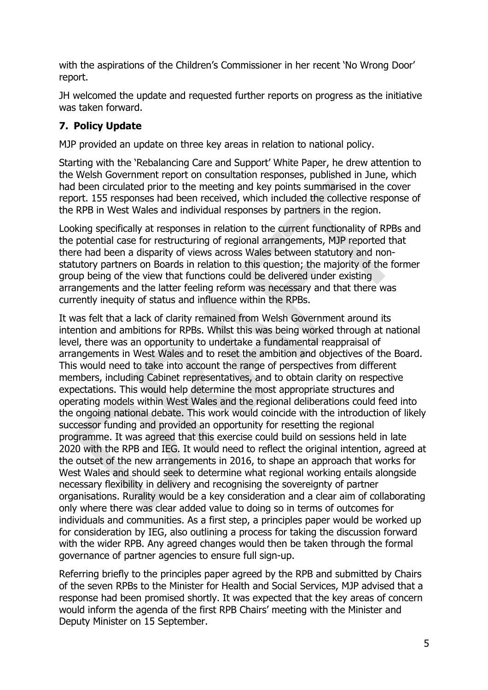with the aspirations of the Children's Commissioner in her recent 'No Wrong Door' report.

JH welcomed the update and requested further reports on progress as the initiative was taken forward.

#### **7. Policy Update**

MJP provided an update on three key areas in relation to national policy.

Starting with the 'Rebalancing Care and Support' White Paper, he drew attention to the Welsh Government report on consultation responses, published in June, which had been circulated prior to the meeting and key points summarised in the cover report. 155 responses had been received, which included the collective response of the RPB in West Wales and individual responses by partners in the region.

Looking specifically at responses in relation to the current functionality of RPBs and the potential case for restructuring of regional arrangements, MJP reported that there had been a disparity of views across Wales between statutory and nonstatutory partners on Boards in relation to this question; the majority of the former group being of the view that functions could be delivered under existing arrangements and the latter feeling reform was necessary and that there was currently inequity of status and influence within the RPBs.

It was felt that a lack of clarity remained from Welsh Government around its intention and ambitions for RPBs. Whilst this was being worked through at national level, there was an opportunity to undertake a fundamental reappraisal of arrangements in West Wales and to reset the ambition and objectives of the Board. This would need to take into account the range of perspectives from different members, including Cabinet representatives, and to obtain clarity on respective expectations. This would help determine the most appropriate structures and operating models within West Wales and the regional deliberations could feed into the ongoing national debate. This work would coincide with the introduction of likely successor funding and provided an opportunity for resetting the regional programme. It was agreed that this exercise could build on sessions held in late 2020 with the RPB and IEG. It would need to reflect the original intention, agreed at the outset of the new arrangements in 2016, to shape an approach that works for West Wales and should seek to determine what regional working entails alongside necessary flexibility in delivery and recognising the sovereignty of partner organisations. Rurality would be a key consideration and a clear aim of collaborating only where there was clear added value to doing so in terms of outcomes for individuals and communities. As a first step, a principles paper would be worked up for consideration by IEG, also outlining a process for taking the discussion forward with the wider RPB. Any agreed changes would then be taken through the formal governance of partner agencies to ensure full sign-up.

Referring briefly to the principles paper agreed by the RPB and submitted by Chairs of the seven RPBs to the Minister for Health and Social Services, MJP advised that a response had been promised shortly. It was expected that the key areas of concern would inform the agenda of the first RPB Chairs' meeting with the Minister and Deputy Minister on 15 September.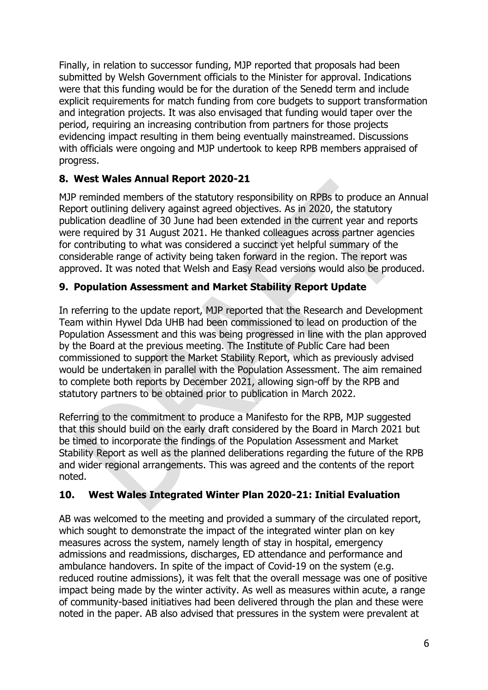Finally, in relation to successor funding, MJP reported that proposals had been submitted by Welsh Government officials to the Minister for approval. Indications were that this funding would be for the duration of the Senedd term and include explicit requirements for match funding from core budgets to support transformation and integration projects. It was also envisaged that funding would taper over the period, requiring an increasing contribution from partners for those projects evidencing impact resulting in them being eventually mainstreamed. Discussions with officials were ongoing and MJP undertook to keep RPB members appraised of progress.

#### **8. West Wales Annual Report 2020-21**

MJP reminded members of the statutory responsibility on RPBs to produce an Annual Report outlining delivery against agreed objectives. As in 2020, the statutory publication deadline of 30 June had been extended in the current year and reports were required by 31 August 2021. He thanked colleagues across partner agencies for contributing to what was considered a succinct yet helpful summary of the considerable range of activity being taken forward in the region. The report was approved. It was noted that Welsh and Easy Read versions would also be produced.

#### **9. Population Assessment and Market Stability Report Update**

In referring to the update report, MJP reported that the Research and Development Team within Hywel Dda UHB had been commissioned to lead on production of the Population Assessment and this was being progressed in line with the plan approved by the Board at the previous meeting. The Institute of Public Care had been commissioned to support the Market Stability Report, which as previously advised would be undertaken in parallel with the Population Assessment. The aim remained to complete both reports by December 2021, allowing sign-off by the RPB and statutory partners to be obtained prior to publication in March 2022.

Referring to the commitment to produce a Manifesto for the RPB, MJP suggested that this should build on the early draft considered by the Board in March 2021 but be timed to incorporate the findings of the Population Assessment and Market Stability Report as well as the planned deliberations regarding the future of the RPB and wider regional arrangements. This was agreed and the contents of the report noted.

### **10. West Wales Integrated Winter Plan 2020-21: Initial Evaluation**

AB was welcomed to the meeting and provided a summary of the circulated report, which sought to demonstrate the impact of the integrated winter plan on key measures across the system, namely length of stay in hospital, emergency admissions and readmissions, discharges, ED attendance and performance and ambulance handovers. In spite of the impact of Covid-19 on the system (e.g. reduced routine admissions), it was felt that the overall message was one of positive impact being made by the winter activity. As well as measures within acute, a range of community-based initiatives had been delivered through the plan and these were noted in the paper. AB also advised that pressures in the system were prevalent at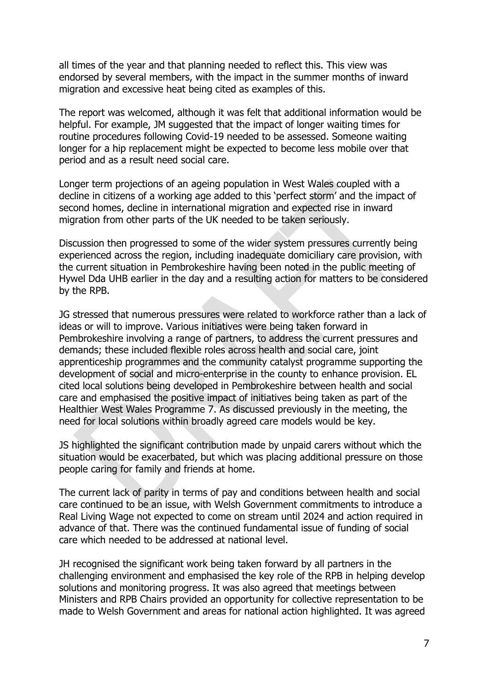all times of the year and that planning needed to reflect this. This view was endorsed by several members, with the impact in the summer months of inward migration and excessive heat being cited as examples of this.

The report was welcomed, although it was felt that additional information would be helpful. For example, JM suggested that the impact of longer waiting times for routine procedures following Covid-19 needed to be assessed. Someone waiting longer for a hip replacement might be expected to become less mobile over that period and as a result need social care.

Longer term projections of an ageing population in West Wales coupled with a decline in citizens of a working age added to this 'perfect storm' and the impact of second homes, decline in international migration and expected rise in inward migration from other parts of the UK needed to be taken seriously.

Discussion then progressed to some of the wider system pressures currently being experienced across the region, including inadequate domiciliary care provision, with the current situation in Pembrokeshire having been noted in the public meeting of Hywel Dda UHB earlier in the day and a resulting action for matters to be considered by the RPB.

JG stressed that numerous pressures were related to workforce rather than a lack of ideas or will to improve. Various initiatives were being taken forward in Pembrokeshire involving a range of partners, to address the current pressures and demands; these included flexible roles across health and social care, joint apprenticeship programmes and the community catalyst programme supporting the development of social and micro-enterprise in the county to enhance provision. EL cited local solutions being developed in Pembrokeshire between health and social care and emphasised the positive impact of initiatives being taken as part of the Healthier West Wales Programme 7. As discussed previously in the meeting, the need for local solutions within broadly agreed care models would be key.

JS highlighted the significant contribution made by unpaid carers without which the situation would be exacerbated, but which was placing additional pressure on those people caring for family and friends at home.

The current lack of parity in terms of pay and conditions between health and social care continued to be an issue, with Welsh Government commitments to introduce a Real Living Wage not expected to come on stream until 2024 and action required in advance of that. There was the continued fundamental issue of funding of social care which needed to be addressed at national level.

JH recognised the significant work being taken forward by all partners in the challenging environment and emphasised the key role of the RPB in helping develop solutions and monitoring progress. It was also agreed that meetings between Ministers and RPB Chairs provided an opportunity for collective representation to be made to Welsh Government and areas for national action highlighted. It was agreed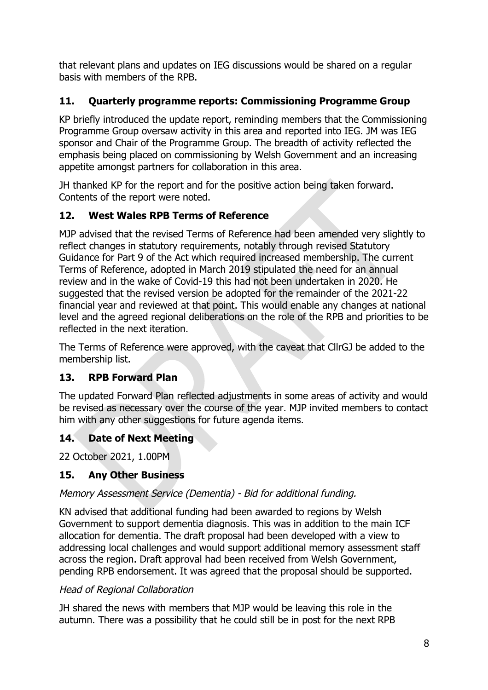that relevant plans and updates on IEG discussions would be shared on a regular basis with members of the RPB.

## **11. Quarterly programme reports: Commissioning Programme Group**

KP briefly introduced the update report, reminding members that the Commissioning Programme Group oversaw activity in this area and reported into IEG. JM was IEG sponsor and Chair of the Programme Group. The breadth of activity reflected the emphasis being placed on commissioning by Welsh Government and an increasing appetite amongst partners for collaboration in this area.

JH thanked KP for the report and for the positive action being taken forward. Contents of the report were noted.

### **12. West Wales RPB Terms of Reference**

MJP advised that the revised Terms of Reference had been amended very slightly to reflect changes in statutory requirements, notably through revised Statutory Guidance for Part 9 of the Act which required increased membership. The current Terms of Reference, adopted in March 2019 stipulated the need for an annual review and in the wake of Covid-19 this had not been undertaken in 2020. He suggested that the revised version be adopted for the remainder of the 2021-22 financial year and reviewed at that point. This would enable any changes at national level and the agreed regional deliberations on the role of the RPB and priorities to be reflected in the next iteration.

The Terms of Reference were approved, with the caveat that CllrGJ be added to the membership list.

### **13. RPB Forward Plan**

The updated Forward Plan reflected adjustments in some areas of activity and would be revised as necessary over the course of the year. MJP invited members to contact him with any other suggestions for future agenda items.

### **14. Date of Next Meeting**

22 October 2021, 1.00PM

### **15. Any Other Business**

#### Memory Assessment Service (Dementia) - Bid for additional funding.

KN advised that additional funding had been awarded to regions by Welsh Government to support dementia diagnosis. This was in addition to the main ICF allocation for dementia. The draft proposal had been developed with a view to addressing local challenges and would support additional memory assessment staff across the region. Draft approval had been received from Welsh Government, pending RPB endorsement. It was agreed that the proposal should be supported.

#### Head of Regional Collaboration

JH shared the news with members that MJP would be leaving this role in the autumn. There was a possibility that he could still be in post for the next RPB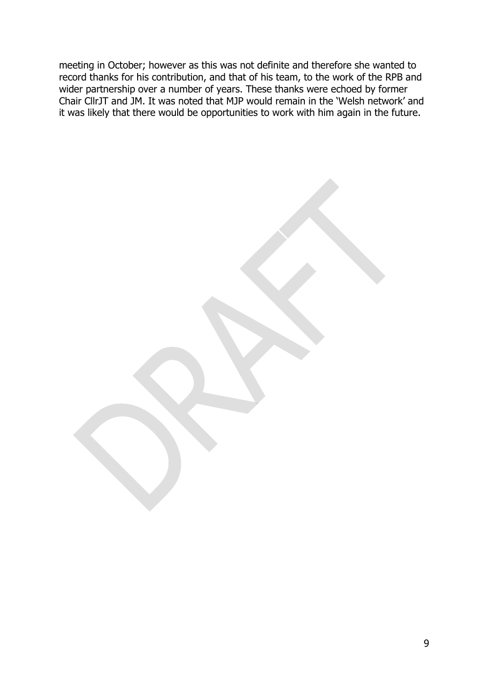meeting in October; however as this was not definite and therefore she wanted to record thanks for his contribution, and that of his team, to the work of the RPB and wider partnership over a number of years. These thanks were echoed by former Chair CllrJT and JM. It was noted that MJP would remain in the 'Welsh network' and it was likely that there would be opportunities to work with him again in the future.